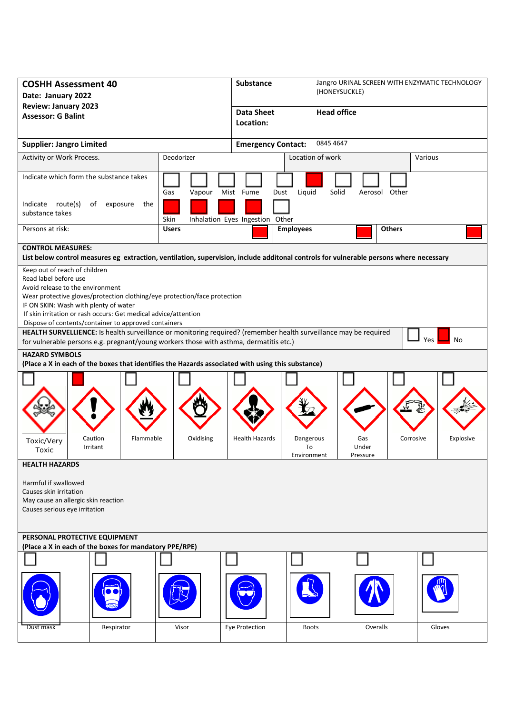| <b>COSHH Assessment 40</b><br>Date: January 2022                                                                                                                                                                                                                                                                                            |               | <b>Substance</b>                |                                | Jangro URINAL SCREEN WITH ENZYMATIC TECHNOLOGY<br>(HONEYSUCKLE) |                        |  |
|---------------------------------------------------------------------------------------------------------------------------------------------------------------------------------------------------------------------------------------------------------------------------------------------------------------------------------------------|---------------|---------------------------------|--------------------------------|-----------------------------------------------------------------|------------------------|--|
| <b>Review: January 2023</b><br><b>Assessor: G Balint</b>                                                                                                                                                                                                                                                                                    |               | <b>Data Sheet</b><br>Location:  |                                | <b>Head office</b>                                              |                        |  |
|                                                                                                                                                                                                                                                                                                                                             |               |                                 |                                |                                                                 |                        |  |
| <b>Supplier: Jangro Limited</b>                                                                                                                                                                                                                                                                                                             |               | <b>Emergency Contact:</b>       |                                | 0845 4647                                                       |                        |  |
| Activity or Work Process.<br>Deodorizer                                                                                                                                                                                                                                                                                                     |               |                                 | Location of work               | Various                                                         |                        |  |
| Indicate which form the substance takes                                                                                                                                                                                                                                                                                                     | Gas<br>Vapour | Mist Fume<br>Dust               | Liquid                         | Solid<br>Aerosol Other                                          |                        |  |
| Indicate route(s)<br>of<br>the<br>exposure<br>substance takes                                                                                                                                                                                                                                                                               | Skin          | Inhalation Eyes Ingestion Other |                                |                                                                 |                        |  |
| Persons at risk:                                                                                                                                                                                                                                                                                                                            | <b>Users</b>  |                                 | <b>Employees</b>               | <b>Others</b>                                                   |                        |  |
| <b>CONTROL MEASURES:</b><br>List below control measures eg extraction, ventilation, supervision, include additonal controls for vulnerable persons where necessary                                                                                                                                                                          |               |                                 |                                |                                                                 |                        |  |
| Keep out of reach of children<br>Read label before use<br>Avoid release to the environment<br>Wear protective gloves/protection clothing/eye protection/face protection<br>IF ON SKIN: Wash with plenty of water<br>If skin irritation or rash occurs: Get medical advice/attention<br>Dispose of contents/container to approved containers |               |                                 |                                |                                                                 |                        |  |
| HEALTH SURVELLIENCE: Is health surveillance or monitoring required? (remember health surveillance may be required<br>Yes<br>No<br>for vulnerable persons e.g. pregnant/young workers those with asthma, dermatitis etc.)                                                                                                                    |               |                                 |                                |                                                                 |                        |  |
| <b>HAZARD SYMBOLS</b><br>(Place a X in each of the boxes that identifies the Hazards associated with using this substance)                                                                                                                                                                                                                  |               |                                 |                                |                                                                 |                        |  |
|                                                                                                                                                                                                                                                                                                                                             |               |                                 |                                |                                                                 |                        |  |
| Flammable<br>Caution<br>Toxic/Very<br>Irritant<br>Toxic                                                                                                                                                                                                                                                                                     | Oxidising     | <b>Health Hazards</b>           | Dangerous<br>To<br>Environment | Gas<br>Under<br>Pressure                                        | Corrosive<br>Explosive |  |
| <b>HEALTH HAZARDS</b><br>Harmful if swallowed<br>Causes skin irritation<br>May cause an allergic skin reaction<br>Causes serious eye irritation                                                                                                                                                                                             |               |                                 |                                |                                                                 |                        |  |
| PERSONAL PROTECTIVE EQUIPMENT<br>(Place a X in each of the boxes for mandatory PPE/RPE)                                                                                                                                                                                                                                                     |               |                                 |                                |                                                                 |                        |  |
|                                                                                                                                                                                                                                                                                                                                             |               |                                 |                                |                                                                 |                        |  |
|                                                                                                                                                                                                                                                                                                                                             |               |                                 |                                |                                                                 |                        |  |
| Respirator<br>Dust mask                                                                                                                                                                                                                                                                                                                     | Visor         | Eye Protection                  | <b>Boots</b>                   | Overalls                                                        | Gloves                 |  |